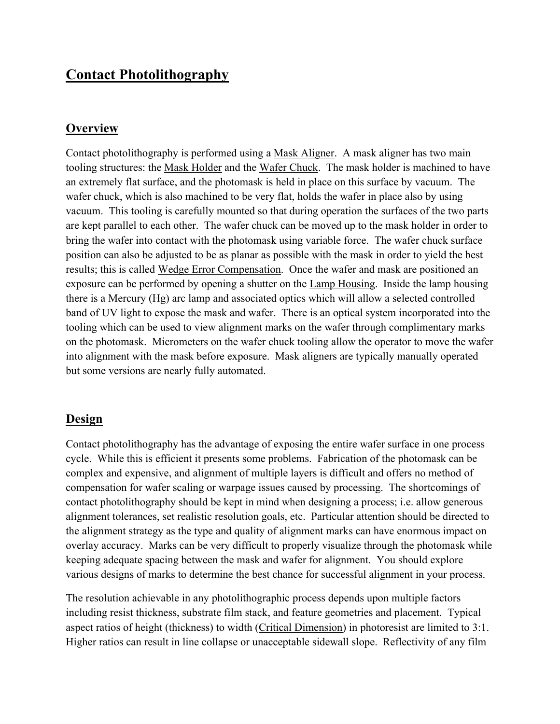# **Contact Photolithography**

#### **Overview**

Contact photolithography is performed using a Mask Aligner. A mask aligner has two main tooling structures: the Mask Holder and the Wafer Chuck. The mask holder is machined to have an extremely flat surface, and the photomask is held in place on this surface by vacuum. The wafer chuck, which is also machined to be very flat, holds the wafer in place also by using vacuum. This tooling is carefully mounted so that during operation the surfaces of the two parts are kept parallel to each other. The wafer chuck can be moved up to the mask holder in order to bring the wafer into contact with the photomask using variable force. The wafer chuck surface position can also be adjusted to be as planar as possible with the mask in order to yield the best results; this is called Wedge Error Compensation. Once the wafer and mask are positioned an exposure can be performed by opening a shutter on the Lamp Housing. Inside the lamp housing there is a Mercury (Hg) arc lamp and associated optics which will allow a selected controlled band of UV light to expose the mask and wafer. There is an optical system incorporated into the tooling which can be used to view alignment marks on the wafer through complimentary marks on the photomask. Micrometers on the wafer chuck tooling allow the operator to move the wafer into alignment with the mask before exposure. Mask aligners are typically manually operated but some versions are nearly fully automated.

#### **Design**

Contact photolithography has the advantage of exposing the entire wafer surface in one process cycle. While this is efficient it presents some problems. Fabrication of the photomask can be complex and expensive, and alignment of multiple layers is difficult and offers no method of compensation for wafer scaling or warpage issues caused by processing. The shortcomings of contact photolithography should be kept in mind when designing a process; i.e. allow generous alignment tolerances, set realistic resolution goals, etc. Particular attention should be directed to the alignment strategy as the type and quality of alignment marks can have enormous impact on overlay accuracy. Marks can be very difficult to properly visualize through the photomask while keeping adequate spacing between the mask and wafer for alignment. You should explore various designs of marks to determine the best chance for successful alignment in your process.

The resolution achievable in any photolithographic process depends upon multiple factors including resist thickness, substrate film stack, and feature geometries and placement. Typical aspect ratios of height (thickness) to width (Critical Dimension) in photoresist are limited to 3:1. Higher ratios can result in line collapse or unacceptable sidewall slope. Reflectivity of any film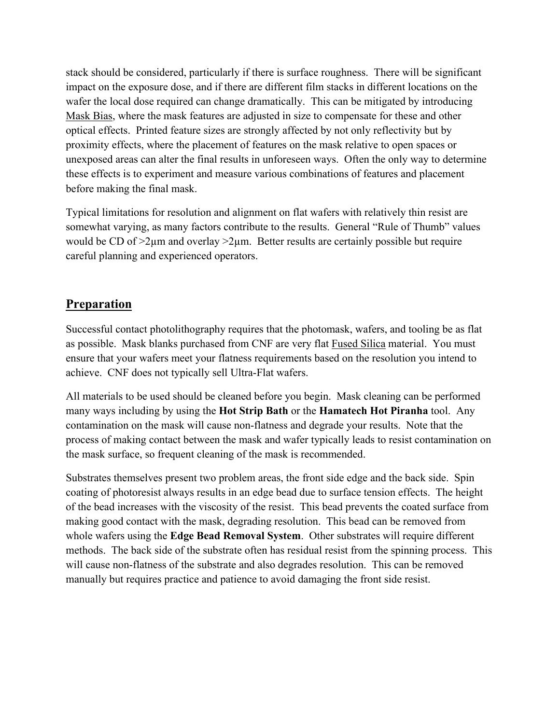stack should be considered, particularly if there is surface roughness. There will be significant impact on the exposure dose, and if there are different film stacks in different locations on the wafer the local dose required can change dramatically. This can be mitigated by introducing Mask Bias, where the mask features are adjusted in size to compensate for these and other optical effects. Printed feature sizes are strongly affected by not only reflectivity but by proximity effects, where the placement of features on the mask relative to open spaces or unexposed areas can alter the final results in unforeseen ways. Often the only way to determine these effects is to experiment and measure various combinations of features and placement before making the final mask.

Typical limitations for resolution and alignment on flat wafers with relatively thin resist are somewhat varying, as many factors contribute to the results. General "Rule of Thumb" values would be CD of  $>2\mu$ m and overlay  $>2\mu$ m. Better results are certainly possible but require careful planning and experienced operators.

# **Preparation**

Successful contact photolithography requires that the photomask, wafers, and tooling be as flat as possible. Mask blanks purchased from CNF are very flat Fused Silica material. You must ensure that your wafers meet your flatness requirements based on the resolution you intend to achieve. CNF does not typically sell Ultra-Flat wafers.

All materials to be used should be cleaned before you begin. Mask cleaning can be performed many ways including by using the **Hot Strip Bath** or the **Hamatech Hot Piranha** tool. Any contamination on the mask will cause non-flatness and degrade your results. Note that the process of making contact between the mask and wafer typically leads to resist contamination on the mask surface, so frequent cleaning of the mask is recommended.

Substrates themselves present two problem areas, the front side edge and the back side. Spin coating of photoresist always results in an edge bead due to surface tension effects. The height of the bead increases with the viscosity of the resist. This bead prevents the coated surface from making good contact with the mask, degrading resolution. This bead can be removed from whole wafers using the **Edge Bead Removal System**. Other substrates will require different methods. The back side of the substrate often has residual resist from the spinning process. This will cause non-flatness of the substrate and also degrades resolution. This can be removed manually but requires practice and patience to avoid damaging the front side resist.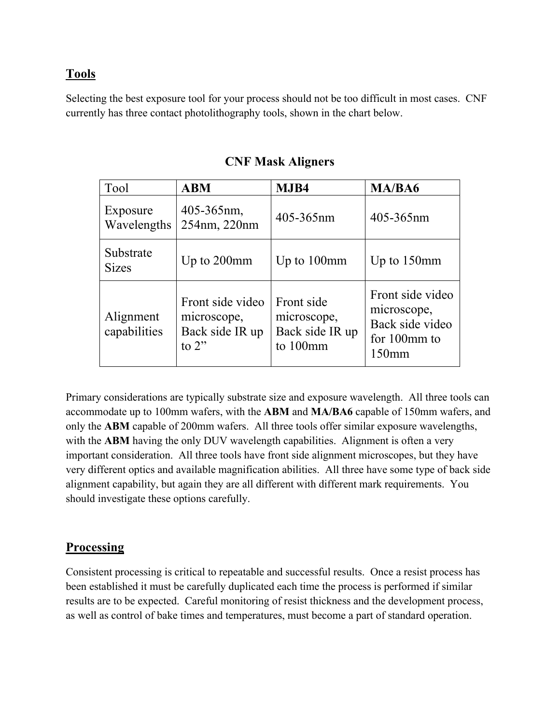# **Tools**

Selecting the best exposure tool for your process should not be too difficult in most cases. CNF currently has three contact photolithography tools, shown in the chart below.

| Tool                      | <b>ABM</b>                                                     | MJB4                                                     | MA/BA6                                                                         |
|---------------------------|----------------------------------------------------------------|----------------------------------------------------------|--------------------------------------------------------------------------------|
| Exposure<br>Wavelengths   | 405-365nm,<br>254nm, 220nm                                     | 405-365nm                                                | 405-365nm                                                                      |
| Substrate<br><b>Sizes</b> | Up to 200mm                                                    | Up to $100$ mm                                           | Up to $150$ mm                                                                 |
| Alignment<br>capabilities | Front side video<br>microscope,<br>Back side IR up<br>to $2$ " | Front side<br>microscope,<br>Back side IR up<br>to 100mm | Front side video<br>microscope,<br>Back side video<br>for 100mm to<br>$150$ mm |

### **CNF Mask Aligners**

Primary considerations are typically substrate size and exposure wavelength. All three tools can accommodate up to 100mm wafers, with the **ABM** and **MA/BA6** capable of 150mm wafers, and only the **ABM** capable of 200mm wafers. All three tools offer similar exposure wavelengths, with the **ABM** having the only DUV wavelength capabilities. Alignment is often a very important consideration. All three tools have front side alignment microscopes, but they have very different optics and available magnification abilities. All three have some type of back side alignment capability, but again they are all different with different mark requirements. You should investigate these options carefully.

### **Processing**

Consistent processing is critical to repeatable and successful results. Once a resist process has been established it must be carefully duplicated each time the process is performed if similar results are to be expected. Careful monitoring of resist thickness and the development process, as well as control of bake times and temperatures, must become a part of standard operation.